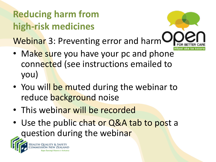# **Reducing harm from high-risk medicines**

Webinar 3: Preventing error and harm

- Make sure you have your pc and phone connected (see instructions emailed to you)
- You will be muted during the webinar to reduce background noise
- This webinar will be recorded
- Use the public chat or Q&A tab to post a question during the webinar

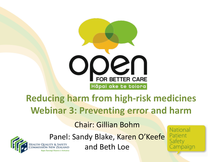

#### **Reducing harm from high-risk medicines Webinar 3: Preventing error and harm**

#### Chair: Gillian Bohm



Panel: Sandy Blake, Karen O'Keefe

and Beth Loe

National Patient Safety Campaign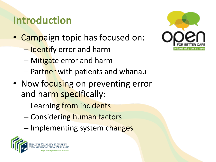# **Introduction**

- Campaign topic has focused on:
	- Identify error and harm
	- Mitigate error and harm
	- Partner with patients and whanau
- Now focusing on preventing error and harm specifically:
	- Learning from incidents
	- Considering human factors
	- Implementing system changes



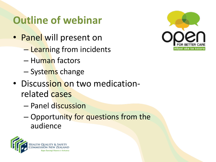# **Outline of webinar**

- Panel will present on
	- Learning from incidents
	- Human factors
	- Systems change
- Discussion on two medicationrelated cases
	- Panel discussion
	- Opportunity for questions from the audience



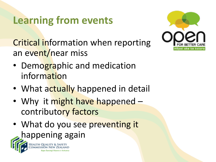# **Learning from events**

Critical information when reporting an event/near miss



- Demographic and medication information
- What actually happened in detail
- Why it might have happened contributory factors
- What do you see preventing it happening again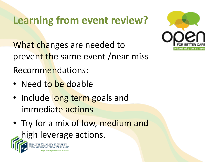# **Learning from event review?**

What changes are needed to prevent the same event / near miss Recommendations:

- Need to be doable
- Include long term goals and immediate actions
- Try for a mix of low, medium and high leverage actions.

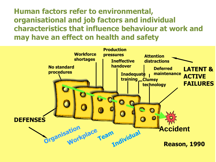**Human factors refer to environmental, organisational and job factors and individual characteristics that influence behaviour at work and may have an effect on health and safety**

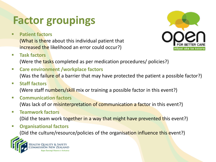# **Factor groupings**

**Patient factors** 

(What is there about this individual patient that increased the likelihood an error could occur?)



**Task factors** 

(Were the tasks completed as per medication procedures/ policies?)

- **Care environment /workplace factors**  (Was the failure of a barrier that may have protected the patient a possible factor?)
- **Staff factors**  (Were staff numbers/skill mix or training a possible factor in this event?)
- **Communication factors**

(Was lack of or misinterpretation of communication a factor in this event?)

**Teamwork factors**

(Did the team work together in a way that might have prevented this event?)

**Organisational factors**

(Did the culture/resource/policies of the organisation influence this event?)

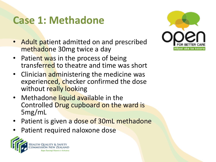### **Case 1: Methadone**

- Adult patient admitted on and prescribed methadone 30mg twice a day
- Patient was in the process of being transferred to theatre and time was short
- Clinician administering the medicine was experienced, checker confirmed the dose without really looking
- Methadone liquid available in the Controlled Drug cupboard on the ward is 5mg/mL
- Patient is given a dose of 30mL methadone
- Patient required naloxone dose



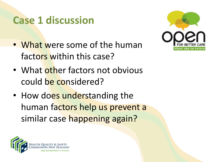### **Case 1 discussion**

• What were some of the human factors within this case?



- What other factors not obvious could be considered?
- How does understanding the human factors help us prevent a similar case happening again?

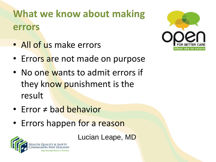# **What we know about making errors**

• All of us make errors



- Errors are not made on purpose
- No one wants to admit errors if they know punishment is the result
- Error ≠ bad behavior
- Errors happen for a reason

Lucian Leape, MD

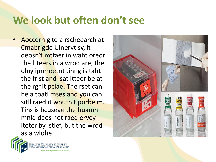### **We look but often don't see**

Aoccdrnig to a rscheearch at Cmabrigde Uinervtisy, it deosn't mttaer in waht oredr the ltteers in a wrod are, the olny iprmoetnt tihng is taht the frist and Isat Itteer be at the rghit pclae. The rset can be a toatl mses and you can sitll raed it wouthit porbelm. Tihs is bcuseae the huamn mnid deos not raed ervey lteter by istlef, but the wrod as a wlohe.



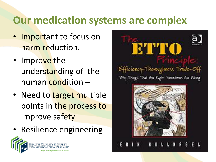# **Our medication systems are complex**

- Important to focus on harm reduction.
- Improve the understanding of the human condition –
- Need to target multiple points in the process to improve safety
- Resilience engineering



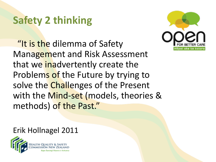# **Safety 2 thinking**

"It is the dilemma of Safety" Management and Risk Assessment that we inadvertently create the Problems of the Future by trying to solve the Challenges of the Present with the Mind-set (models, theories & methods) of the Past."



Erik Hollnagel 2011

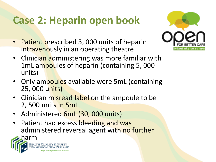# **Case 2: Heparin open book**

• Patient prescribed 3, 000 units of heparin intravenously in an operating theatre



- Clinician administering was more familiar with 1mL ampoules of heparin (containing 5, 000 units)
- Only ampoules available were 5mL (containing 25, 000 units)
- Clinician misread label on the ampoule to be 2, 500 units in 5mL
- Administered 6mL (30, 000 units)
- Patient had excess bleeding and was administered reversal agent with no further

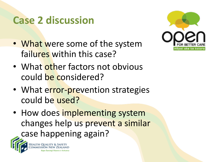### **Case 2 discussion**

- What were some of the system failures within this case?
- What other factors not obvious could be considered?
- What error-prevention strategies could be used?
- How does implementing system changes help us prevent a similar case happening again?

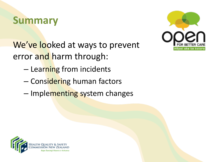#### **Summary**

We've looked at ways to prevent error and harm through:

- Learning from incidents
- Considering human factors
- Implementing system changes



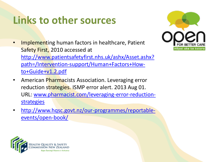## **Links to other sources**

- Implementing human factors in healthcare, Patient Safety First, 2010 accessed at [http://www.patientsafetyfirst.nhs.uk/ashx/Asset.ashx?](http://www.patientsafetyfirst.nhs.uk/ashx/Asset.ashx?path=/Intervention-support/Human+Factors+How-to+Guide+v1.2.pdf) [path=/Intervention-support/Human+Factors+How](http://www.patientsafetyfirst.nhs.uk/ashx/Asset.ashx?path=/Intervention-support/Human+Factors+How-to+Guide+v1.2.pdf)[to+Guide+v1.2.pdf](http://www.patientsafetyfirst.nhs.uk/ashx/Asset.ashx?path=/Intervention-support/Human+Factors+How-to+Guide+v1.2.pdf)
- American Pharmacists Association. Leveraging error reduction strategies. ISMP error alert. 2013 Aug 01. URL: [www.pharmacist.com/leveraging-error-reduction](http://www.pharmacist.com/leveraging-error-reduction-strategies)**[strategies](http://www.pharmacist.com/leveraging-error-reduction-strategies)**
- [http://www.hqsc.govt.nz/our-programmes/reportable](http://www.hqsc.govt.nz/our-programmes/reportable-events/open-book/)[events/open-book/](http://www.hqsc.govt.nz/our-programmes/reportable-events/open-book/)